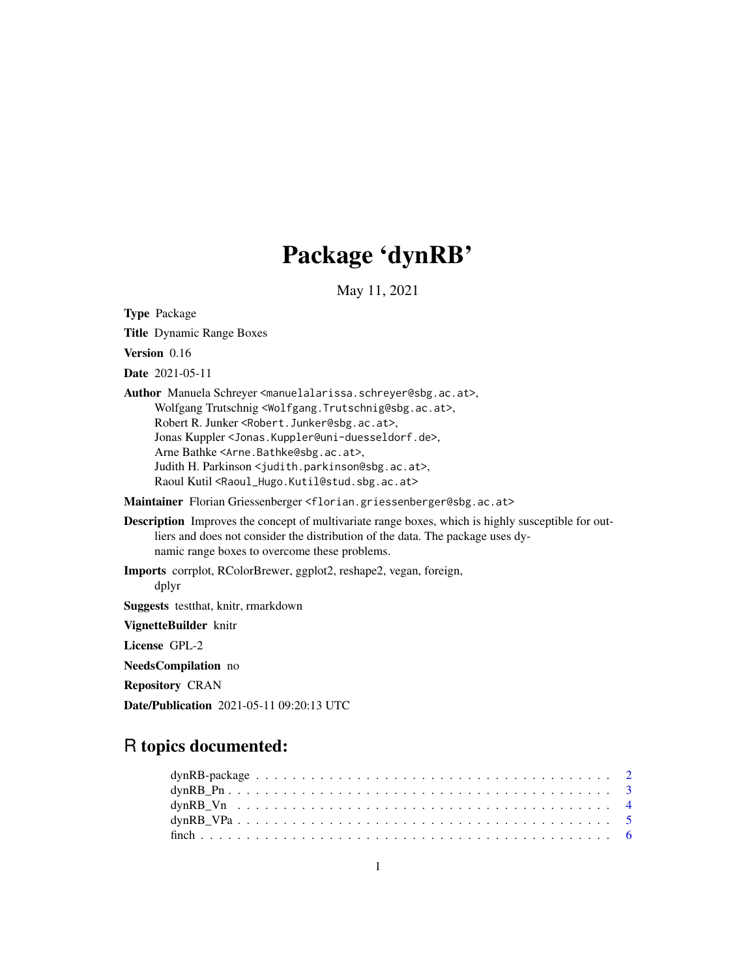# Package 'dynRB'

May 11, 2021

Type Package Title Dynamic Range Boxes Version 0.16 Date 2021-05-11 Author Manuela Schreyer <manuelalarissa.schreyer@sbg.ac.at>, Wolfgang Trutschnig <Wolfgang.Trutschnig@sbg.ac.at>, Robert R. Junker <Robert.Junker@sbg.ac.at>, Jonas Kuppler <Jonas.Kuppler@uni-duesseldorf.de>, Arne Bathke <Arne.Bathke@sbg.ac.at>, Judith H. Parkinson <judith.parkinson@sbg.ac.at>, Raoul Kutil <Raoul\_Hugo.Kutil@stud.sbg.ac.at> Maintainer Florian Griessenberger <florian.griessenberger@sbg.ac.at> Description Improves the concept of multivariate range boxes, which is highly susceptible for outliers and does not consider the distribution of the data. The package uses dynamic range boxes to overcome these problems. Imports corrplot, RColorBrewer, ggplot2, reshape2, vegan, foreign, dplyr Suggests testthat, knitr, rmarkdown VignetteBuilder knitr License GPL-2 NeedsCompilation no Repository CRAN

Date/Publication 2021-05-11 09:20:13 UTC

# R topics documented: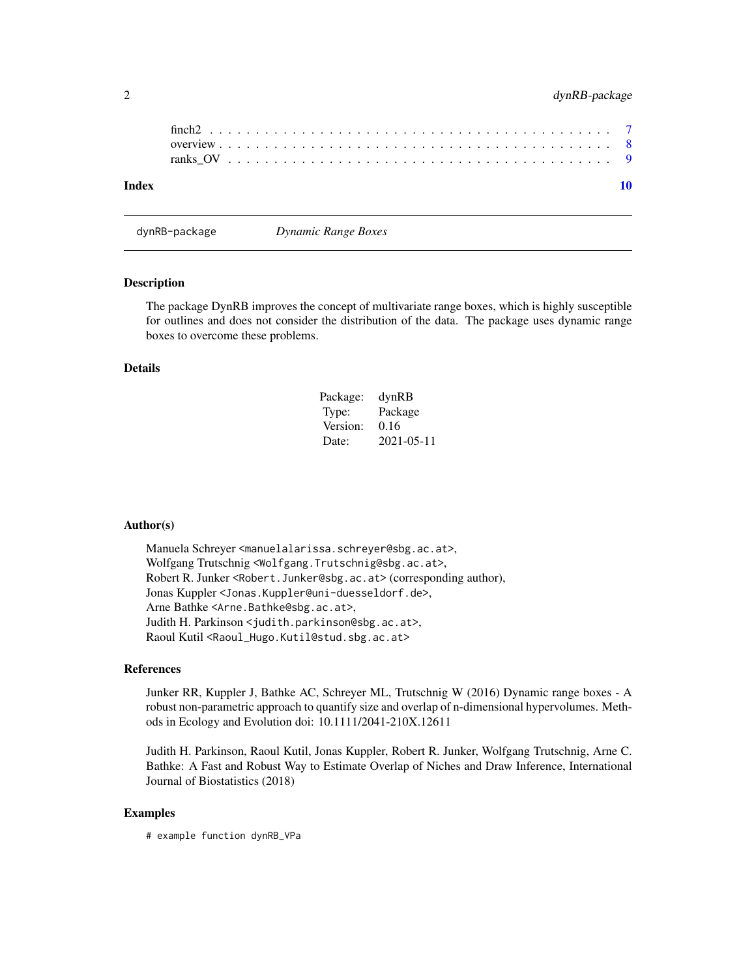<span id="page-1-0"></span>

|  | dynRB-package |
|--|---------------|
|--|---------------|

dynRB-package *Dynamic Range Boxes*

#### Description

The package DynRB improves the concept of multivariate range boxes, which is highly susceptible for outlines and does not consider the distribution of the data. The package uses dynamic range boxes to overcome these problems.

### Details

| Package: | dynRB      |
|----------|------------|
| Type:    | Package    |
| Version: | 0.16       |
| Date:    | 2021-05-11 |

#### Author(s)

Manuela Schreyer <manuelalarissa.schreyer@sbg.ac.at>, Wolfgang Trutschnig <Wolfgang.Trutschnig@sbg.ac.at>, Robert R. Junker <Robert.Junker@sbg.ac.at> (corresponding author), Jonas Kuppler <Jonas.Kuppler@uni-duesseldorf.de>, Arne Bathke <Arne.Bathke@sbg.ac.at>, Judith H. Parkinson <judith.parkinson@sbg.ac.at>, Raoul Kutil <Raoul\_Hugo.Kutil@stud.sbg.ac.at>

#### References

Junker RR, Kuppler J, Bathke AC, Schreyer ML, Trutschnig W (2016) Dynamic range boxes - A robust non-parametric approach to quantify size and overlap of n-dimensional hypervolumes. Methods in Ecology and Evolution doi: 10.1111/2041-210X.12611

Judith H. Parkinson, Raoul Kutil, Jonas Kuppler, Robert R. Junker, Wolfgang Trutschnig, Arne C. Bathke: A Fast and Robust Way to Estimate Overlap of Niches and Draw Inference, International Journal of Biostatistics (2018)

### Examples

# example function dynRB\_VPa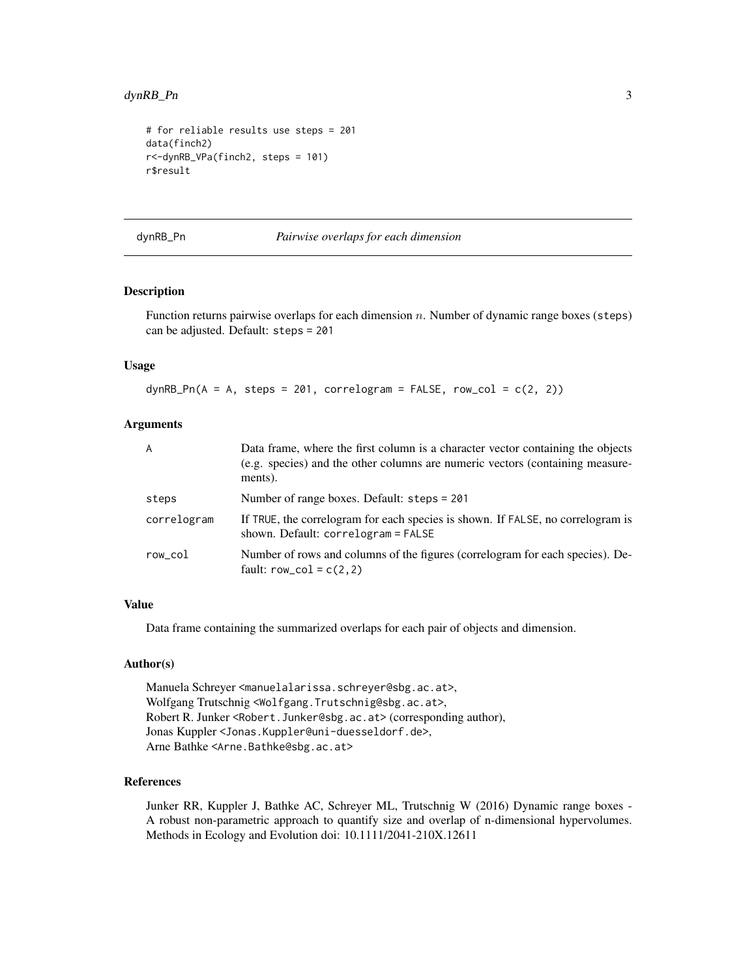# <span id="page-2-0"></span>dynRB\_Pn 3

```
# for reliable results use steps = 201
data(finch2)
r<-dynRB_VPa(finch2, steps = 101)
r$result
```
dynRB\_Pn *Pairwise overlaps for each dimension*

# Description

Function returns pairwise overlaps for each dimension n. Number of dynamic range boxes (steps) can be adjusted. Default: steps = 201

## Usage

 $dynRB_Pn(A = A, steps = 201, correlogram = FALSE, row_col = c(2, 2))$ 

### Arguments

| A           | Data frame, where the first column is a character vector containing the objects<br>(e.g. species) and the other columns are numeric vectors (containing measure-<br>ments). |
|-------------|-----------------------------------------------------------------------------------------------------------------------------------------------------------------------------|
| steps       | Number of range boxes. Default: steps = 201                                                                                                                                 |
| correlogram | If TRUE, the correlogram for each species is shown. If FALSE, no correlogram is<br>shown. Default: $correlogram = FALSE$                                                    |
| row col     | Number of rows and columns of the figures (correlogram for each species). De-<br>fault: $row\_col = c(2, 2)$                                                                |

# Value

Data frame containing the summarized overlaps for each pair of objects and dimension.

#### Author(s)

Manuela Schreyer <manuelalarissa.schreyer@sbg.ac.at>, Wolfgang Trutschnig <Wolfgang.Trutschnig@sbg.ac.at>, Robert R. Junker <Robert.Junker@sbg.ac.at> (corresponding author), Jonas Kuppler <Jonas.Kuppler@uni-duesseldorf.de>, Arne Bathke <Arne.Bathke@sbg.ac.at>

#### References

Junker RR, Kuppler J, Bathke AC, Schreyer ML, Trutschnig W (2016) Dynamic range boxes - A robust non-parametric approach to quantify size and overlap of n-dimensional hypervolumes. Methods in Ecology and Evolution doi: 10.1111/2041-210X.12611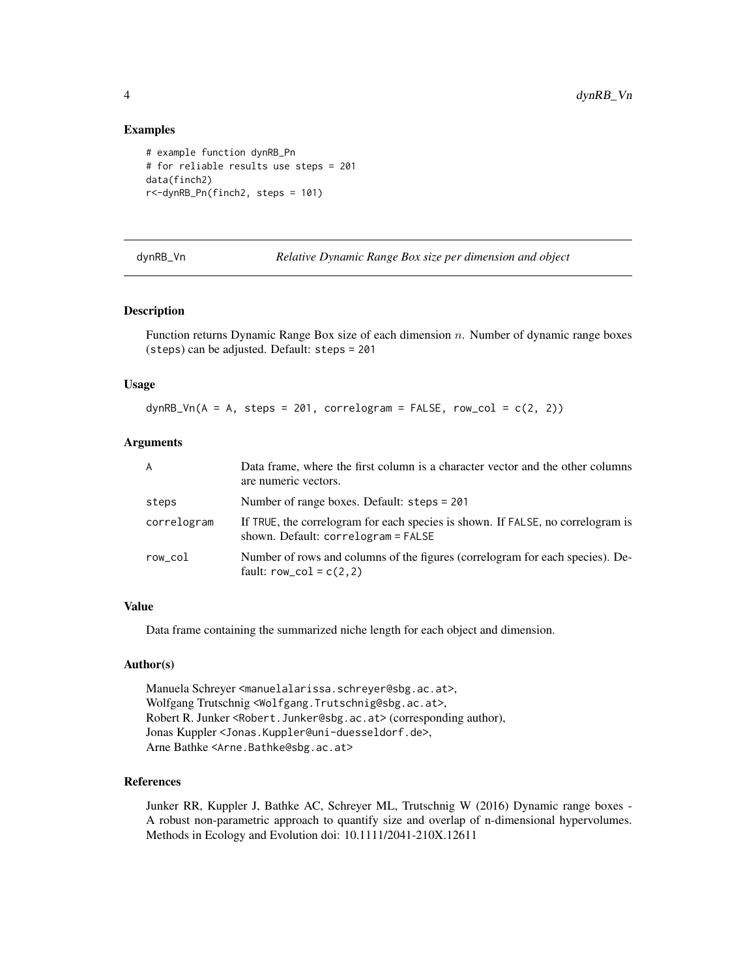#### Examples

```
# example function dynRB_Pn
# for reliable results use steps = 201
data(finch2)
r<-dynRB_Pn(finch2, steps = 101)
```
dynRB\_Vn *Relative Dynamic Range Box size per dimension and object*

#### Description

Function returns Dynamic Range Box size of each dimension n. Number of dynamic range boxes (steps) can be adjusted. Default: steps = 201

#### Usage

 $dynRB_Vn(A = A, steps = 201, correlogram = FALSE, row_col = c(2, 2))$ 

#### Arguments

| A           | Data frame, where the first column is a character vector and the other columns<br>are numeric vectors.                   |
|-------------|--------------------------------------------------------------------------------------------------------------------------|
| steps       | Number of range boxes. Default: steps = 201                                                                              |
| correlogram | If TRUE, the correlogram for each species is shown. If FALSE, no correlogram is<br>shown. Default: $correlogram = FALSE$ |
| row_col     | Number of rows and columns of the figures (correlogram for each species). De-<br>fault: $row\_col = c(2, 2)$             |

# Value

Data frame containing the summarized niche length for each object and dimension.

# Author(s)

Manuela Schreyer <manuelalarissa.schreyer@sbg.ac.at>, Wolfgang Trutschnig <Wolfgang.Trutschnig@sbg.ac.at>, Robert R. Junker <Robert.Junker@sbg.ac.at> (corresponding author), Jonas Kuppler <Jonas.Kuppler@uni-duesseldorf.de>, Arne Bathke <Arne.Bathke@sbg.ac.at>

# References

Junker RR, Kuppler J, Bathke AC, Schreyer ML, Trutschnig W (2016) Dynamic range boxes - A robust non-parametric approach to quantify size and overlap of n-dimensional hypervolumes. Methods in Ecology and Evolution doi: 10.1111/2041-210X.12611

<span id="page-3-0"></span>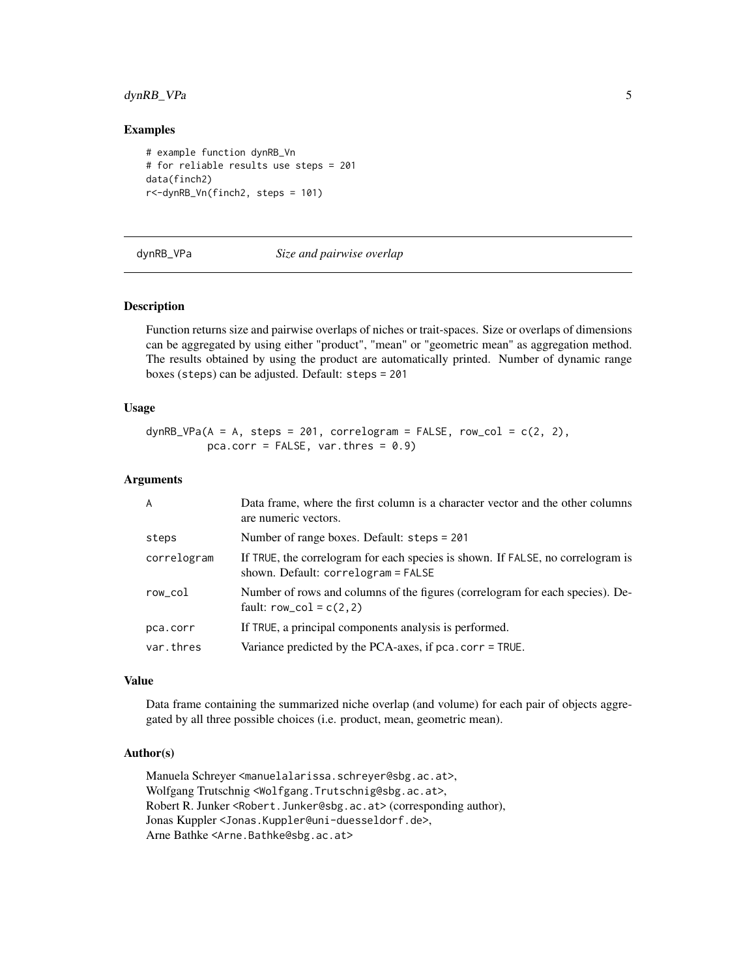# <span id="page-4-0"></span>dynRB\_VPa 5

#### Examples

```
# example function dynRB_Vn
# for reliable results use steps = 201
data(finch2)
r<-dynRB_Vn(finch2, steps = 101)
```
#### dynRB\_VPa *Size and pairwise overlap*

### Description

Function returns size and pairwise overlaps of niches or trait-spaces. Size or overlaps of dimensions can be aggregated by using either "product", "mean" or "geometric mean" as aggregation method. The results obtained by using the product are automatically printed. Number of dynamic range boxes (steps) can be adjusted. Default: steps = 201

#### Usage

dynRB\_VPa( $A = A$ , steps = 201, correlogram = FALSE, row\_col = c(2, 2), pca.corr = FALSE, var.thres =  $0.9$ )

#### Arguments

| $\overline{A}$ | Data frame, where the first column is a character vector and the other columns<br>are numeric vectors.                   |
|----------------|--------------------------------------------------------------------------------------------------------------------------|
| steps          | Number of range boxes. Default: steps = 201                                                                              |
| correlogram    | If TRUE, the correlogram for each species is shown. If FALSE, no correlogram is<br>shown. Default: $correlogram = FALSE$ |
| row_col        | Number of rows and columns of the figures (correlogram for each species). De-<br>fault: $row\_col = c(2, 2)$             |
| pca.corr       | If TRUE, a principal components analysis is performed.                                                                   |
| var.thres      | Variance predicted by the PCA-axes, if $pca.corr = TRUE$ .                                                               |

#### Value

Data frame containing the summarized niche overlap (and volume) for each pair of objects aggregated by all three possible choices (i.e. product, mean, geometric mean).

### Author(s)

Manuela Schreyer <manuelalarissa.schreyer@sbg.ac.at>, Wolfgang Trutschnig <Wolfgang.Trutschnig@sbg.ac.at>, Robert R. Junker <Robert.Junker@sbg.ac.at> (corresponding author), Jonas Kuppler <Jonas.Kuppler@uni-duesseldorf.de>, Arne Bathke <Arne.Bathke@sbg.ac.at>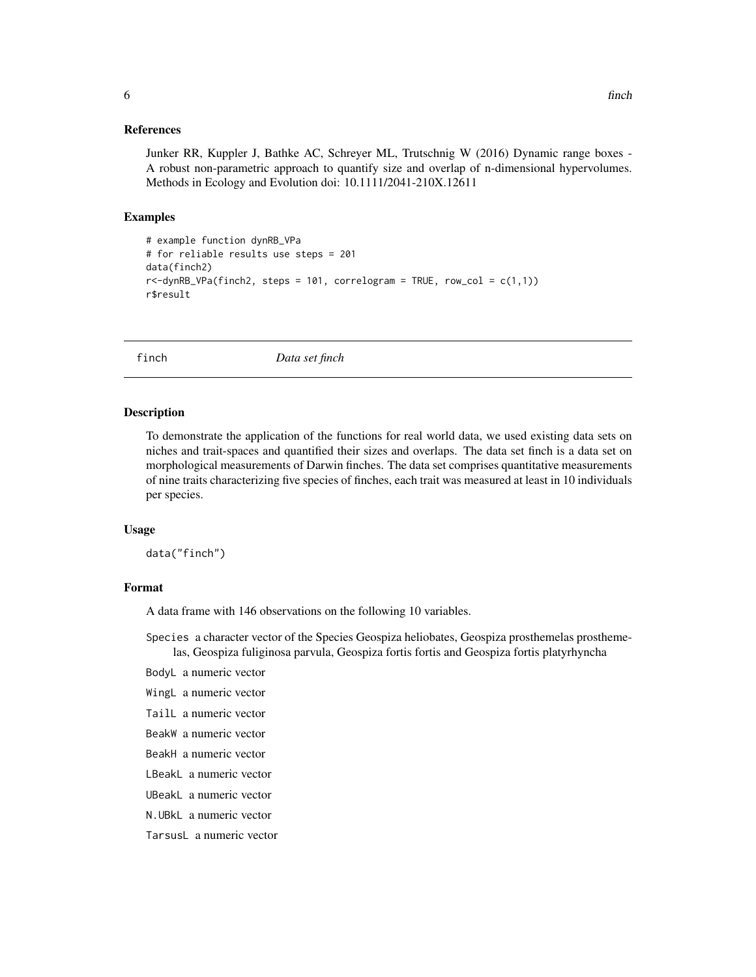#### <span id="page-5-0"></span>References

Junker RR, Kuppler J, Bathke AC, Schreyer ML, Trutschnig W (2016) Dynamic range boxes - A robust non-parametric approach to quantify size and overlap of n-dimensional hypervolumes. Methods in Ecology and Evolution doi: 10.1111/2041-210X.12611

#### Examples

```
# example function dynRB_VPa
# for reliable results use steps = 201
data(finch2)
r <-dynRB_VPa(finch2, steps = 101, correlogram = TRUE, row_col = c(1,1))
r$result
```
finch *Data set finch*

#### Description

To demonstrate the application of the functions for real world data, we used existing data sets on niches and trait-spaces and quantified their sizes and overlaps. The data set finch is a data set on morphological measurements of Darwin finches. The data set comprises quantitative measurements of nine traits characterizing five species of finches, each trait was measured at least in 10 individuals per species.

#### Usage

data("finch")

#### Format

A data frame with 146 observations on the following 10 variables.

Species a character vector of the Species Geospiza heliobates, Geospiza prosthemelas prosthemelas, Geospiza fuliginosa parvula, Geospiza fortis fortis and Geospiza fortis platyrhyncha

BodyL a numeric vector

- WingL a numeric vector
- TailL a numeric vector
- BeakW a numeric vector
- BeakH a numeric vector
- LBeakL a numeric vector
- UBeakL a numeric vector
- N.UBkL a numeric vector

TarsusL a numeric vector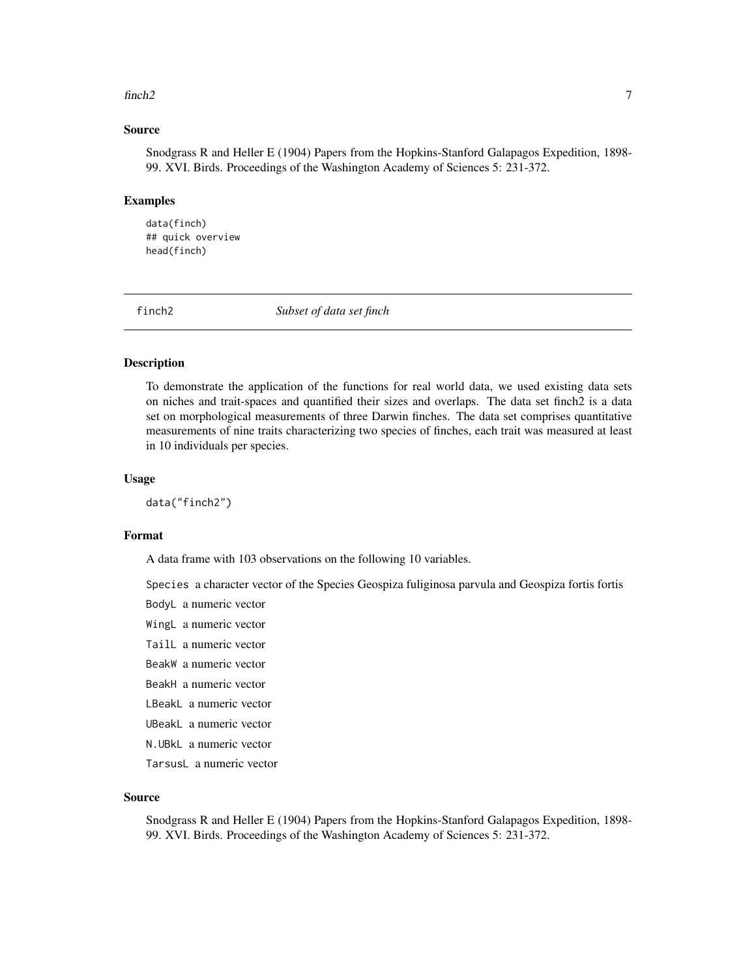#### <span id="page-6-0"></span> $finch2$  7

#### Source

Snodgrass R and Heller E (1904) Papers from the Hopkins-Stanford Galapagos Expedition, 1898- 99. XVI. Birds. Proceedings of the Washington Academy of Sciences 5: 231-372.

#### Examples

data(finch) ## quick overview head(finch)

finch2 *Subset of data set finch*

#### Description

To demonstrate the application of the functions for real world data, we used existing data sets on niches and trait-spaces and quantified their sizes and overlaps. The data set finch2 is a data set on morphological measurements of three Darwin finches. The data set comprises quantitative measurements of nine traits characterizing two species of finches, each trait was measured at least in 10 individuals per species.

#### Usage

data("finch2")

#### Format

A data frame with 103 observations on the following 10 variables.

Species a character vector of the Species Geospiza fuliginosa parvula and Geospiza fortis fortis

BodyL a numeric vector

WingL a numeric vector

TailL a numeric vector

BeakW a numeric vector

BeakH a numeric vector

LBeakL a numeric vector UBeakL a numeric vector

N.UBkL a numeric vector

TarsusL a numeric vector

#### Source

Snodgrass R and Heller E (1904) Papers from the Hopkins-Stanford Galapagos Expedition, 1898- 99. XVI. Birds. Proceedings of the Washington Academy of Sciences 5: 231-372.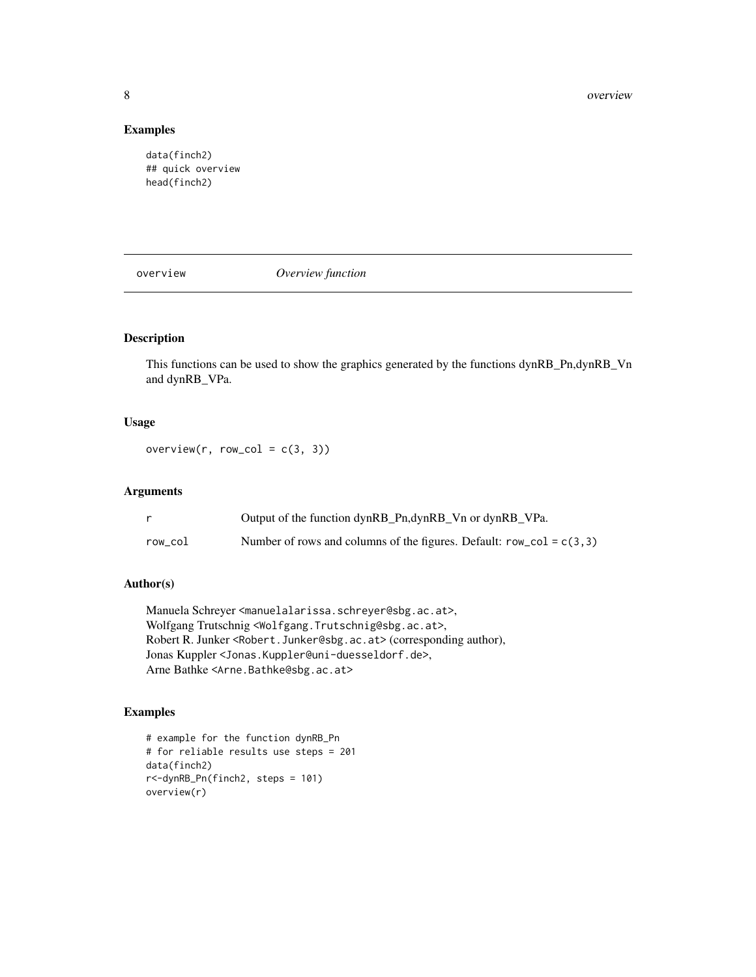8 overview and the set of the set of the set of the set of the set of the set of the set of the set of the set of the set of the set of the set of the set of the set of the set of the set of the set of the set of the set o

# Examples

data(finch2) ## quick overview head(finch2)

overview *Overview function*

# Description

This functions can be used to show the graphics generated by the functions dynRB\_Pn,dynRB\_Vn and dynRB\_VPa.

# Usage

overview(r, row\_col =  $c(3, 3)$ )

# Arguments

|         | Output of the function dynRB_Pn,dynRB_Vn or dynRB_VPa.                   |
|---------|--------------------------------------------------------------------------|
| row col | Number of rows and columns of the figures. Default: $row\_col = c(3, 3)$ |

# Author(s)

Manuela Schreyer <manuelalarissa.schreyer@sbg.ac.at>, Wolfgang Trutschnig <Wolfgang.Trutschnig@sbg.ac.at>, Robert R. Junker <Robert.Junker@sbg.ac.at> (corresponding author), Jonas Kuppler <Jonas.Kuppler@uni-duesseldorf.de>, Arne Bathke <Arne.Bathke@sbg.ac.at>

# Examples

```
# example for the function dynRB_Pn
# for reliable results use steps = 201
data(finch2)
r<-dynRB_Pn(finch2, steps = 101)
overview(r)
```
<span id="page-7-0"></span>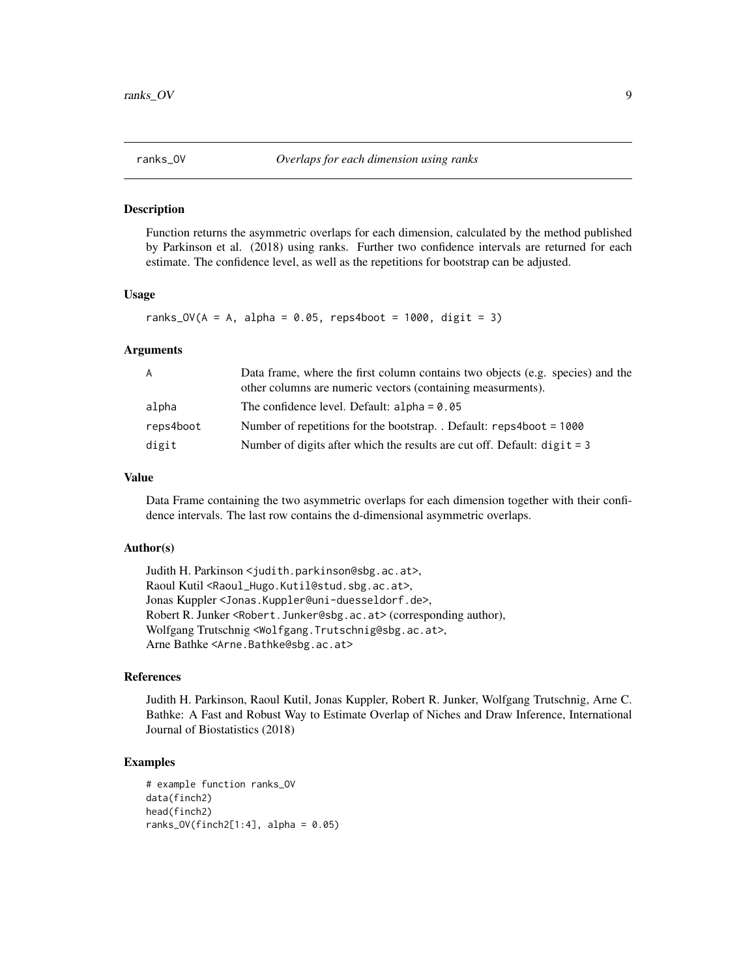<span id="page-8-0"></span>

#### Description

Function returns the asymmetric overlaps for each dimension, calculated by the method published by Parkinson et al. (2018) using ranks. Further two confidence intervals are returned for each estimate. The confidence level, as well as the repetitions for bootstrap can be adjusted.

#### Usage

ranks\_OV( $A = A$ , alpha = 0.05, reps4boot = 1000, digit = 3)

#### Arguments

| A         | Data frame, where the first column contains two objects (e.g. species) and the<br>other columns are numeric vectors (containing measurments). |
|-----------|-----------------------------------------------------------------------------------------------------------------------------------------------|
| alpha     | The confidence level. Default: $alpha = 0.05$                                                                                                 |
| reps4boot | Number of repetitions for the bootstrap. Default: $reps4boot = 1000$                                                                          |
| digit     | Number of digits after which the results are cut off. Default: $\text{digit} = 3$                                                             |

### Value

Data Frame containing the two asymmetric overlaps for each dimension together with their confidence intervals. The last row contains the d-dimensional asymmetric overlaps.

#### Author(s)

Judith H. Parkinson <judith.parkinson@sbg.ac.at>, Raoul Kutil <Raoul\_Hugo.Kutil@stud.sbg.ac.at>, Jonas Kuppler <Jonas.Kuppler@uni-duesseldorf.de>, Robert R. Junker <Robert.Junker@sbg.ac.at> (corresponding author), Wolfgang Trutschnig <Wolfgang.Trutschnig@sbg.ac.at>, Arne Bathke <Arne.Bathke@sbg.ac.at>

#### References

Judith H. Parkinson, Raoul Kutil, Jonas Kuppler, Robert R. Junker, Wolfgang Trutschnig, Arne C. Bathke: A Fast and Robust Way to Estimate Overlap of Niches and Draw Inference, International Journal of Biostatistics (2018)

#### Examples

```
# example function ranks_OV
data(finch2)
head(finch2)
ranks_0V(finch2[1:4], alpha = 0.05)
```